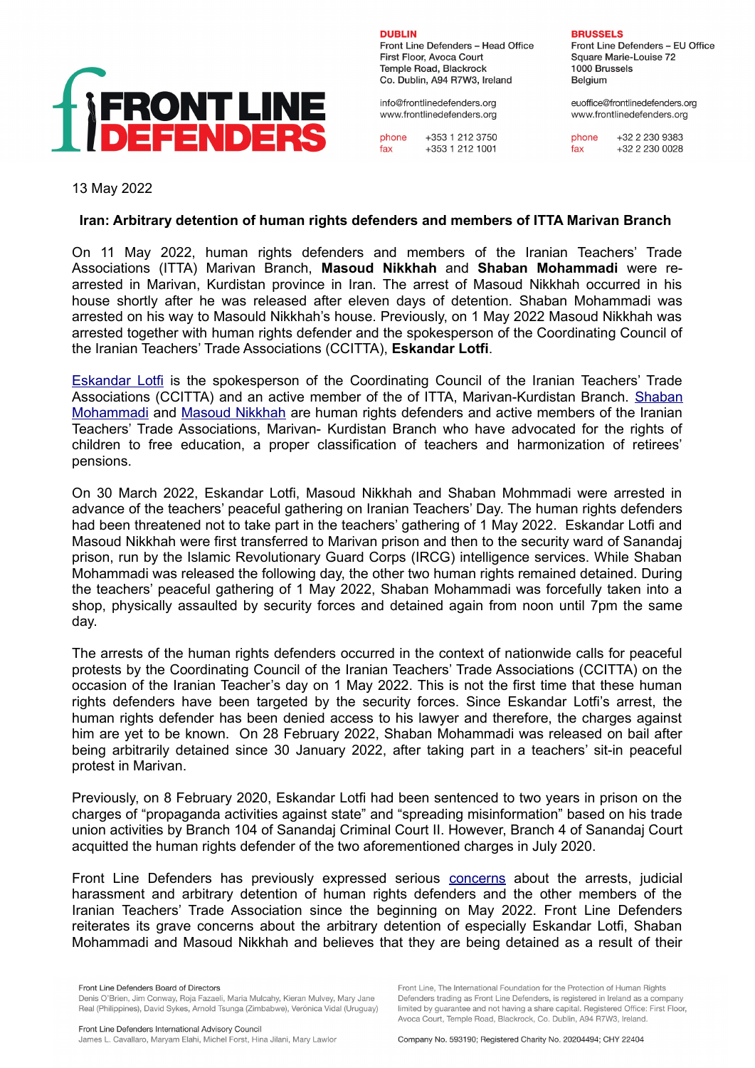

**DURLIN** Front Line Defenders - Head Office First Floor, Avoca Court Temple Road, Blackrock Co. Dublin, A94 R7W3, Ireland

info@frontlinedefenders.org www.frontlinedefenders.org

phone +353 1 212 3750 fax +353 1 212 1001

**BRUSSELS** 

Front Line Defenders - EU Office Square Marie-Louise 72 1000 Brussels Belgium

euoffice@frontlinedefenders.org www.frontlinedefenders.org

+32 2 230 9383 phone +32 2 230 0028 fax

13 May 2022

## **Iran: Arbitrary detention of human rights defenders and members of ITTA Marivan Branch**

On 11 May 2022, human rights defenders and members of the Iranian Teachers' Trade Associations (ITTA) Marivan Branch, **Masoud Nikkhah** and **Shaban Mohammadi** were rearrested in Marivan, Kurdistan province in Iran. The arrest of Masoud Nikkhah occurred in his house shortly after he was released after eleven days of detention. Shaban Mohammadi was arrested on his way to Masould Nikkhah's house. Previously, on 1 May 2022 Masoud Nikkhah was arrested together with human rights defender and the spokesperson of the Coordinating Council of the Iranian Teachers' Trade Associations (CCITTA), **Eskandar Lotfi**.

[Eskandar Lotfi](https://www.frontlinedefenders.org/en/profile/eskandar-lotfi) is the spokesperson of the Coordinating Council of the Iranian Teachers' Trade Associations (CCITTA) and an active member of the of ITTA, Marivan-Kurdistan Branch. [Shaban](https://www.frontlinedefenders.org/en/profile/shaban-mohammadi) [Mohammadi](https://www.frontlinedefenders.org/en/profile/shaban-mohammadi) and [Masoud Nikkhah](https://www.frontlinedefenders.org/en/profile/masoud-nikkhah) are human rights defenders and active members of the Iranian Teachers' Trade Associations, Marivan- Kurdistan Branch who have advocated for the rights of children to free education, a proper classification of teachers and harmonization of retirees' pensions.

On 30 March 2022, Eskandar Lotfi, Masoud Nikkhah and Shaban Mohmmadi were arrested in advance of the teachers' peaceful gathering on Iranian Teachers' Day. The human rights defenders had been threatened not to take part in the teachers' gathering of 1 May 2022. Eskandar Lotfi and Masoud Nikkhah were first transferred to Marivan prison and then to the security ward of Sanandaj prison, run by the Islamic Revolutionary Guard Corps (IRCG) intelligence services. While Shaban Mohammadi was released the following day, the other two human rights remained detained. During the teachers' peaceful gathering of 1 May 2022, Shaban Mohammadi was forcefully taken into a shop, physically assaulted by security forces and detained again from noon until 7pm the same day.

The arrests of the human rights defenders occurred in the context of nationwide calls for peaceful protests by the Coordinating Council of the Iranian Teachers' Trade Associations (CCITTA) on the occasion of the Iranian Teacher's day on 1 May 2022. This is not the first time that these human rights defenders have been targeted by the security forces. Since Eskandar Lotfi's arrest, the human rights defender has been denied access to his lawyer and therefore, the charges against him are yet to be known. On 28 February 2022, Shaban Mohammadi was released on bail after being arbitrarily detained since 30 January 2022, after taking part in a teachers' sit-in peaceful protest in Marivan.

Previously, on 8 February 2020, Eskandar Lotfi had been sentenced to two years in prison on the charges of "propaganda activities against state" and "spreading misinformation" based on his trade union activities by Branch 104 of Sanandaj Criminal Court II. However, Branch 4 of Sanandaj Court acquitted the human rights defender of the two aforementioned charges in July 2020.

Front Line Defenders has previously expressed serious concerns about the arrests, judicial harassment and arbitrary detention of human rights defenders and the other members of the Iranian Teachers' Trade Association since the beginning on May 2022. Front Line Defenders reiterates its grave concerns about the arbitrary detention of especially Eskandar Lotfi, Shaban Mohammadi and Masoud Nikkhah and believes that they are being detained as a result of their

Front Line. The International Foundation for the Protection of Human Rights

Defenders trading as Front Line Defenders, is registered in Ireland as a company

limited by guarantee and not having a share capital. Registered Office: First Floor,